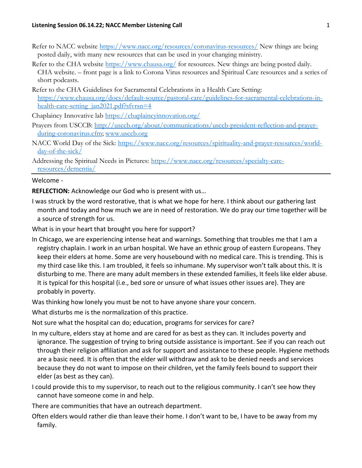- Refer to NACC website https://www.nacc.org/resources/coronavirus-resources/ New things are being posted daily, with many new resources that can be used in your changing ministry.
- Refer to the CHA website https://www.chausa.org/ for resources. New things are being posted daily. CHA website. – front page is a link to Corona Virus resources and Spiritual Care resources and a series of short podcasts.
- Refer to the CHA Guidelines for Sacramental Celebrations in a Health Care Setting: https://www.chausa.org/docs/default-source/pastoral-care/guidelines-for-sacramental-celebrations-inhealth-care-setting\_jan2021.pdf?sfvrsn=4

Chaplaincy Innovative lab https://chaplaincyinnovation.org/

- Prayers from USCCB: http://usccb.org/about/communications/usccb-president-reflection-and-prayerduring-coronavirus.cfm; www.usccb.org
- NACC World Day of the Sick: https://www.nacc.org/resources/spirituality-and-prayer-resources/worldday-of-the-sick/
- Addressing the Spiritual Needs in Pictures: https://www.nacc.org/resources/specialty-careresources/dementia/

## Welcome -

REFLECTION: Acknowledge our God who is present with us...

I was struck by the word restorative, that is what we hope for here. I think about our gathering last month and today and how much we are in need of restoration. We do pray our time together will be a source of strength for us.

What is in your heart that brought you here for support?

In Chicago, we are experiencing intense heat and warnings. Something that troubles me that I am a registry chaplain. I work in an urban hospital. We have an ethnic group of eastern Europeans. They keep their elders at home. Some are very housebound with no medical care. This is trending. This is my third case like this. I am troubled, it feels so inhumane. My supervisor won't talk about this. It is disturbing to me. There are many adult members in these extended families, It feels like elder abuse. It is typical for this hospital (i.e., bed sore or unsure of what issues other issues are). They are probably in poverty.

Was thinking how lonely you must be not to have anyone share your concern.

What disturbs me is the normalization of this practice.

Not sure what the hospital can do; education, programs for services for care?

- In my culture, elders stay at home and are cared for as best as they can. It includes poverty and ignorance. The suggestion of trying to bring outside assistance is important. See if you can reach out through their religion affiliation and ask for support and assistance to these people. Hygiene methods are a basic need. It is often that the elder will withdraw and ask to be denied needs and services because they do not want to impose on their children, yet the family feels bound to support their elder (as best as they can).
- I could provide this to my supervisor, to reach out to the religious community. I can't see how they cannot have someone come in and help.

There are communities that have an outreach department.

Often elders would rather die than leave their home. I don't want to be, I have to be away from my family.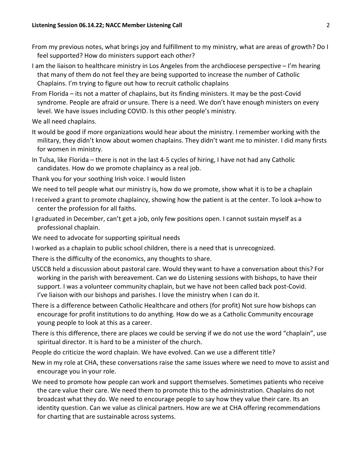- From my previous notes, what brings joy and fulfillment to my ministry, what are areas of growth? Do I feel supported? How do ministers support each other?
- I am the liaison to healthcare ministry in Los Angeles from the archdiocese perspective I'm hearing that many of them do not feel they are being supported to increase the number of Catholic Chaplains. I'm trying to figure out how to recruit catholic chaplains
- From Florida its not a matter of chaplains, but its finding ministers. It may be the post-Covid syndrome. People are afraid or unsure. There is a need. We don't have enough ministers on every level. We have issues including COVID. Is this other people's ministry.

We all need chaplains.

- It would be good if more organizations would hear about the ministry. I remember working with the military, they didn't know about women chaplains. They didn't want me to minister. I did many firsts for women in ministry.
- In Tulsa, like Florida there is not in the last 4-5 cycles of hiring, I have not had any Catholic candidates. How do we promote chaplaincy as a real job.
- Thank you for your soothing Irish voice. I would listen
- We need to tell people what our ministry is, how do we promote, show what it is to be a chaplain
- I received a grant to promote chaplaincy, showing how the patient is at the center. To look a=how to center the profession for all faiths.
- I graduated in December, can't get a job, only few positions open. I cannot sustain myself as a professional chaplain.
- We need to advocate for supporting spiritual needs
- I worked as a chaplain to public school children, there is a need that is unrecognized.
- There is the difficulty of the economics, any thoughts to share.
- USCCB held a discussion about pastoral care. Would they want to have a conversation about this? For working in the parish with bereavement. Can we do Listening sessions with bishops, to have their support. I was a volunteer community chaplain, but we have not been called back post-Covid. I've liaison with our bishops and parishes. I love the ministry when I can do it.
- There is a difference between Catholic Healthcare and others (for profit) Not sure how bishops can encourage for profit institutions to do anything. How do we as a Catholic Community encourage young people to look at this as a career.
- There is this difference, there are places we could be serving if we do not use the word "chaplain", use spiritual director. It is hard to be a minister of the church.
- People do criticize the word chaplain. We have evolved. Can we use a different title?
- New in my role at CHA, these conversations raise the same issues where we need to move to assist and encourage you in your role.
- We need to promote how people can work and support themselves. Sometimes patients who receive the care value their care. We need them to promote this to the administration. Chaplains do not broadcast what they do. We need to encourage people to say how they value their care. Its an identity question. Can we value as clinical partners. How are we at CHA offering recommendations for charting that are sustainable across systems.